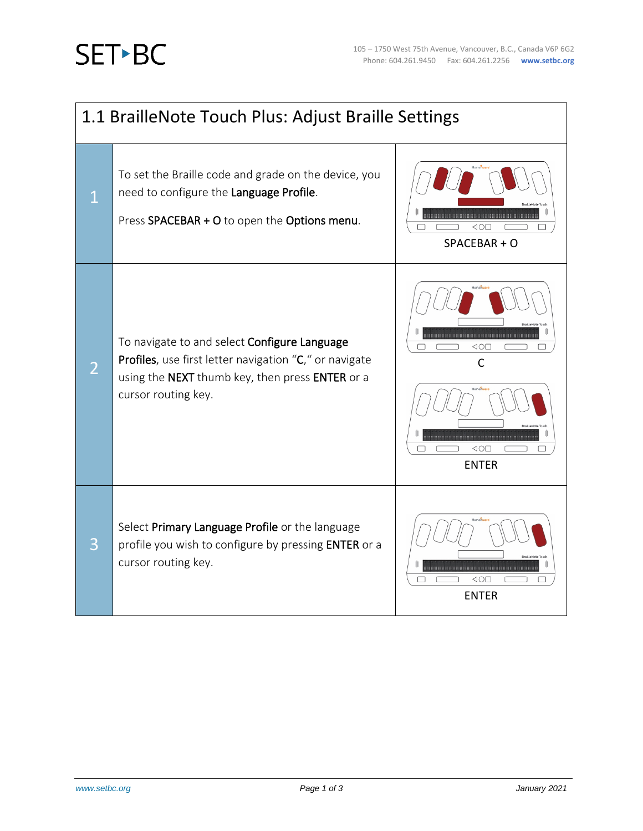## **SET-BC**

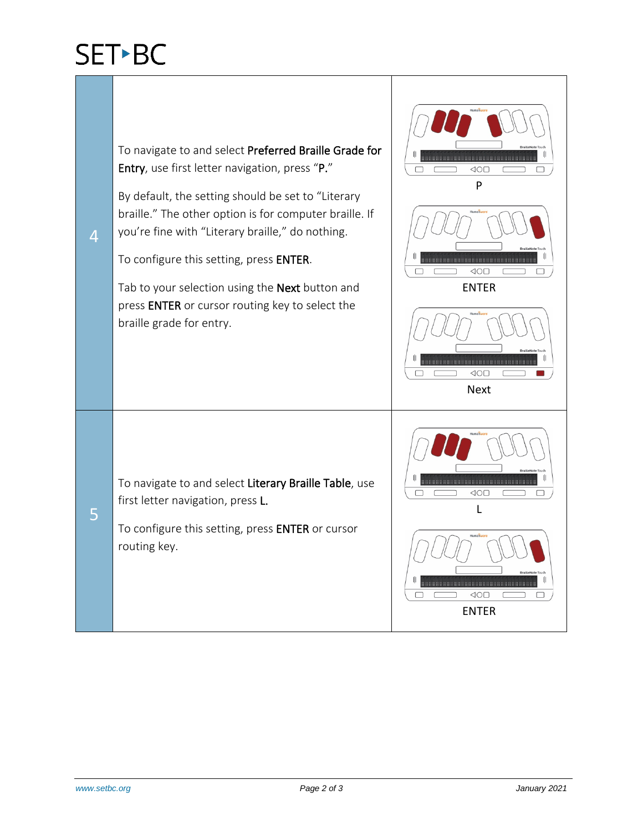## SET-BC